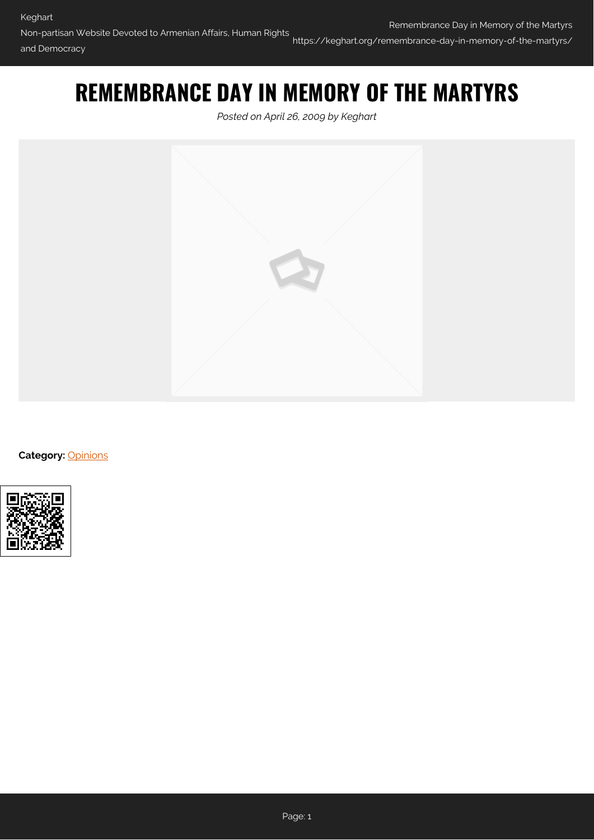# **REMEMBRANCE DAY IN MEMORY OF THE MARTYRS**

*Posted on April 26, 2009 by Keghart*



**Category:** [Opinions](https://keghart.org/category/opinions/)

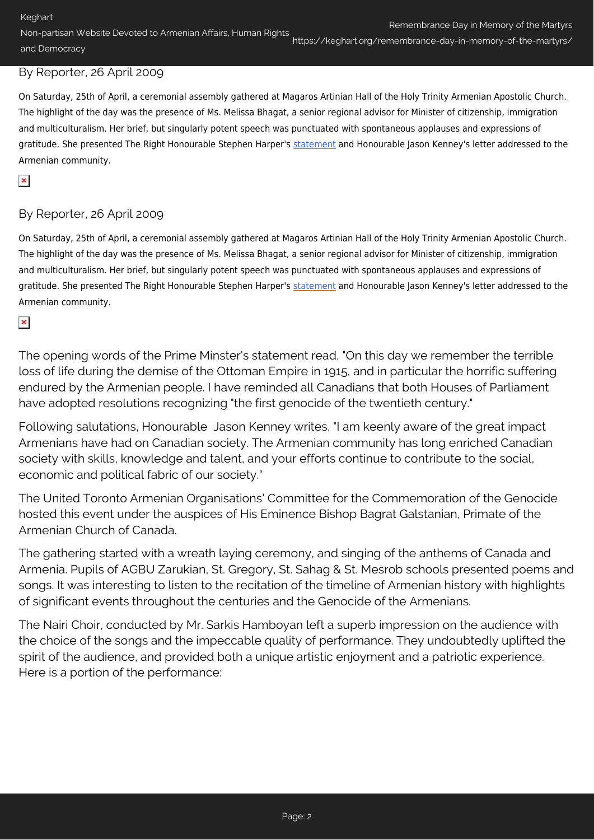Remembrance Day in Memory of the Martyrs

Non-partisan Website Devoted to Armenian Affairs, Human Rights and Democracy https://keghart.org/remembrance-day-in-memory-of-the-martyrs/

### By Reporter, 26 April 2009

On Saturday, 25th of April, a ceremonial assembly gathered at Magaros Artinian Hall of the Holy Trinity Armenian Apostolic Church. The highlight of the day was the presence of Ms. Melissa Bhagat, a senior regional advisor for Minister of citizenship, immigration and multiculturalism. Her brief, but singularly potent speech was punctuated with spontaneous applauses and expressions of gratitude. She presented The Right Honourable Stephen Harper's [statement](http://keghart.com/node/432) and Honourable Jason Kenney's letter addressed to the Armenian community.

### $\pmb{\times}$

# By Reporter, 26 April 2009

On Saturday, 25th of April, a ceremonial assembly gathered at Magaros Artinian Hall of the Holy Trinity Armenian Apostolic Church. The highlight of the day was the presence of Ms. Melissa Bhagat, a senior regional advisor for Minister of citizenship, immigration and multiculturalism. Her brief, but singularly potent speech was punctuated with spontaneous applauses and expressions of gratitude. She presented The Right Honourable Stephen Harper's [statement](http://keghart.com/node/432) and Honourable Jason Kenney's letter addressed to the Armenian community.

# $\pmb{\times}$

The opening words of the Prime Minster's statement read, "On this day we remember the terrible loss of life during the demise of the Ottoman Empire in 1915, and in particular the horrific suffering endured by the Armenian people. I have reminded all Canadians that both Houses of Parliament have adopted resolutions recognizing "the first genocide of the twentieth century."

Following salutations, Honourable Jason Kenney writes, "I am keenly aware of the great impact Armenians have had on Canadian society. The Armenian community has long enriched Canadian society with skills, knowledge and talent, and your efforts continue to contribute to the social, economic and political fabric of our society."

The United Toronto Armenian Organisations' Committee for the Commemoration of the Genocide hosted this event under the auspices of His Eminence Bishop Bagrat Galstanian, Primate of the Armenian Church of Canada.

The gathering started with a wreath laying ceremony, and singing of the anthems of Canada and Armenia. Pupils of AGBU Zarukian, St. Gregory, St. Sahag & St. Mesrob schools presented poems and songs. It was interesting to listen to the recitation of the timeline of Armenian history with highlights of significant events throughout the centuries and the Genocide of the Armenians.

The Nairi Choir, conducted by Mr. Sarkis Hamboyan left a superb impression on the audience with the choice of the songs and the impeccable quality of performance. They undoubtedly uplifted the spirit of the audience, and provided both a unique artistic enjoyment and a patriotic experience. Here is a portion of the performance: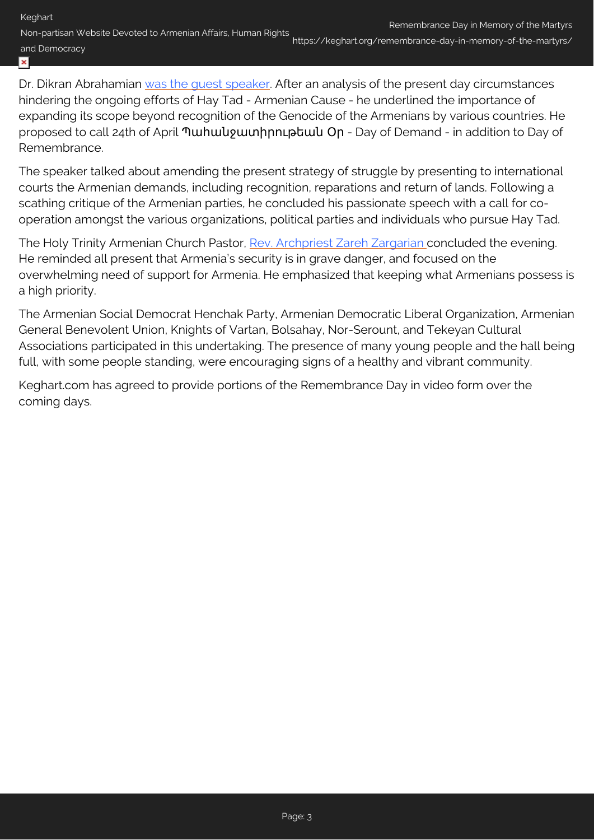Non-partisan Website Devoted to Armenian Affairs, Human Rights and Democracy https://keghart.org/remembrance-day-in-memory-of-the-martyrs/

#### $\pmb{\times}$

Dr. Dikran Abrahamian was the quest speaker. After an analysis of the present day circumstances hindering the ongoing efforts of Hay Tad - Armenian Cause - he underlined the importance of expanding its scope beyond recognition of the Genocide of the Armenians by various countries. He proposed to call 24th of April Պահանջատիրութեան Օր - Day of Demand - in addition to Day of Remembrance.

The speaker talked about amending the present strategy of struggle by presenting to international courts the Armenian demands, including recognition, reparations and return of lands. Following a scathing critique of the Armenian parties, he concluded his passionate speech with a call for cooperation amongst the various organizations, political parties and individuals who pursue Hay Tad.

The Holy Trinity Armenian Church Pastor, [Rev. Archpriest Zareh Zargarian c](http://www.keghart.com/node/447)oncluded the evening. He reminded all present that Armenia's security is in grave danger, and focused on the overwhelming need of support for Armenia. He emphasized that keeping what Armenians possess is a high priority.

The Armenian Social Democrat Henchak Party, Armenian Democratic Liberal Organization, Armenian General Benevolent Union, Knights of Vartan, Bolsahay, Nor-Serount, and Tekeyan Cultural Associations participated in this undertaking. The presence of many young people and the hall being full, with some people standing, were encouraging signs of a healthy and vibrant community.

Keghart.com has agreed to provide portions of the Remembrance Day in video form over the coming days.